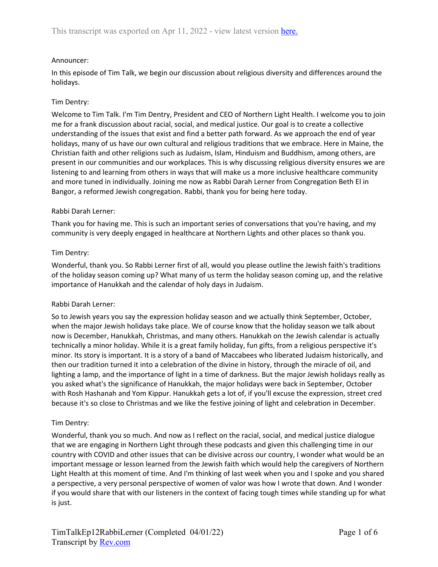### Announcer:

In this episode of Tim Talk, we begin our discussion about religious diversity and differences around the holidays.

### Tim Dentry:

Welcome to Tim Talk. I'm Tim Dentry, President and CEO of Northern Light Health. I welcome you to join me for a frank discussion about racial, social, and medical justice. Our goal is to create a collective understanding of the issues that exist and find a better path forward. As we approach the end of year holidays, many of us have our own cultural and religious traditions that we embrace. Here in Maine, the Christian faith and other religions such as Judaism, Islam, Hinduism and Buddhism, among others, are present in our communities and our workplaces. This is why discussing religious diversity ensures we are listening to and learning from others in ways that will make us a more inclusive healthcare community and more tuned in individually. Joining me now as Rabbi Darah Lerner from Congregation Beth El in Bangor, a reformed Jewish congregation. Rabbi, thank you for being here today.

#### Rabbi Darah Lerner:

Thank you for having me. This is such an important series of conversations that you're having, and my community is very deeply engaged in healthcare at Northern Lights and other places so thank you.

### Tim Dentry:

Wonderful, thank you. So Rabbi Lerner first of all, would you please outline the Jewish faith's traditions of the holiday season coming up? What many of us term the holiday season coming up, and the relative importance of Hanukkah and the calendar of holy days in Judaism.

#### Rabbi Darah Lerner:

So to Jewish years you say the expression holiday season and we actually think September, October, when the major Jewish holidays take place. We of course know that the holiday season we talk about now is December, Hanukkah, Christmas, and many others. Hanukkah on the Jewish calendar is actually technically a minor holiday. While it is a great family holiday, fun gifts, from a religious perspective it's minor. Its story is important. It is a story of a band of Maccabees who liberated Judaism historically, and then our tradition turned it into a celebration of the divine in history, through the miracle of oil, and lighting a lamp, and the importance of light in a time of darkness. But the major Jewish holidays really as you asked what's the significance of Hanukkah, the major holidays were back in September, October with Rosh Hashanah and Yom Kippur. Hanukkah gets a lot of, if you'll excuse the expression, street cred because it's so close to Christmas and we like the festive joining of light and celebration in December.

#### Tim Dentry:

Wonderful, thank you so much. And now as I reflect on the racial, social, and medical justice dialogue that we are engaging in Northern Light through these podcasts and given this challenging time in our country with COVID and other issues that can be divisive across our country, I wonder what would be an important message or lesson learned from the Jewish faith which would help the caregivers of Northern Light Health at this moment of time. And I'm thinking of last week when you and I spoke and you shared a perspective, a very personal perspective of women of valor was how I wrote that down. And I wonder if you would share that with our listeners in the context of facing tough times while standing up for what is just.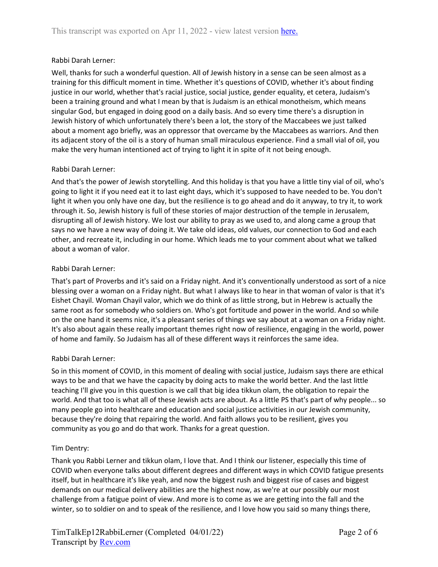### Rabbi Darah Lerner:

Well, thanks for such a wonderful question. All of Jewish history in a sense can be seen almost as a training for this difficult moment in time. Whether it's questions of COVID, whether it's about finding justice in our world, whether that's racial justice, social justice, gender equality, et cetera, Judaism's been a training ground and what I mean by that is Judaism is an ethical monotheism, which means singular God, but engaged in doing good on a daily basis. And so every time there's a disruption in Jewish history of which unfortunately there's been a lot, the story of the Maccabees we just talked about a moment ago briefly, was an oppressor that overcame by the Maccabees as warriors. And then its adjacent story of the oil is a story of human small miraculous experience. Find a small vial of oil, you make the very human intentioned act of trying to light it in spite of it not being enough.

### Rabbi Darah Lerner:

And that's the power of Jewish storytelling. And this holiday is that you have a little tiny vial of oil, who's going to light it if you need eat it to last eight days, which it's supposed to have needed to be. You don't light it when you only have one day, but the resilience is to go ahead and do it anyway, to try it, to work through it. So, Jewish history is full of these stories of major destruction of the temple in Jerusalem, disrupting all of Jewish history. We lost our ability to pray as we used to, and along came a group that says no we have a new way of doing it. We take old ideas, old values, our connection to God and each other, and recreate it, including in our home. Which leads me to your comment about what we talked about a woman of valor.

### Rabbi Darah Lerner:

That's part of Proverbs and it's said on a Friday night. And it's conventionally understood as sort of a nice blessing over a woman on a Friday night. But what I always like to hear in that woman of valor is that it's Eishet Chayil. Woman Chayil valor, which we do think of as little strong, but in Hebrew is actually the same root as for somebody who soldiers on. Who's got fortitude and power in the world. And so while on the one hand it seems nice, it's a pleasant series of things we say about at a woman on a Friday night. It's also about again these really important themes right now of resilience, engaging in the world, power of home and family. So Judaism has all of these different ways it reinforces the same idea.

#### Rabbi Darah Lerner:

So in this moment of COVID, in this moment of dealing with social justice, Judaism says there are ethical ways to be and that we have the capacity by doing acts to make the world better. And the last little teaching I'll give you in this question is we call that big idea tikkun olam, the obligation to repair the world. And that too is what all of these Jewish acts are about. As a little PS that's part of why people... so many people go into healthcare and education and social justice activities in our Jewish community, because they're doing that repairing the world. And faith allows you to be resilient, gives you community as you go and do that work. Thanks for a great question.

#### Tim Dentry:

Thank you Rabbi Lerner and tikkun olam, I love that. And I think our listener, especially this time of COVID when everyone talks about different degrees and different ways in which COVID fatigue presents itself, but in healthcare it's like yeah, and now the biggest rush and biggest rise of cases and biggest demands on our medical delivery abilities are the highest now, as we're at our possibly our most challenge from a fatigue point of view. And more is to come as we are getting into the fall and the winter, so to soldier on and to speak of the resilience, and I love how you said so many things there,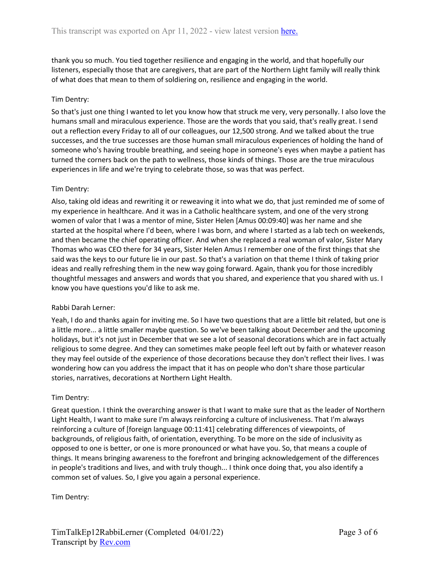thank you so much. You tied together resilience and engaging in the world, and that hopefully our listeners, especially those that are caregivers, that are part of the Northern Light family will really think of what does that mean to them of soldiering on, resilience and engaging in the world.

# Tim Dentry:

So that's just one thing I wanted to let you know how that struck me very, very personally. I also love the humans small and miraculous experience. Those are the words that you said, that's really great. I send out a reflection every Friday to all of our colleagues, our 12,500 strong. And we talked about the true successes, and the true successes are those human small miraculous experiences of holding the hand of someone who's having trouble breathing, and seeing hope in someone's eyes when maybe a patient has turned the corners back on the path to wellness, those kinds of things. Those are the true miraculous experiences in life and we're trying to celebrate those, so was that was perfect.

# Tim Dentry:

Also, taking old ideas and rewriting it or reweaving it into what we do, that just reminded me of some of my experience in healthcare. And it was in a Catholic healthcare system, and one of the very strong women of valor that I was a mentor of mine, Sister Helen [Amus 00:09:40] was her name and she started at the hospital where I'd been, where I was born, and where I started as a lab tech on weekends, and then became the chief operating officer. And when she replaced a real woman of valor, Sister Mary Thomas who was CEO there for 34 years, Sister Helen Amus I remember one of the first things that she said was the keys to our future lie in our past. So that's a variation on that theme I think of taking prior ideas and really refreshing them in the new way going forward. Again, thank you for those incredibly thoughtful messages and answers and words that you shared, and experience that you shared with us. I know you have questions you'd like to ask me.

# Rabbi Darah Lerner:

Yeah, I do and thanks again for inviting me. So I have two questions that are a little bit related, but one is a little more... a little smaller maybe question. So we've been talking about December and the upcoming holidays, but it's not just in December that we see a lot of seasonal decorations which are in fact actually religious to some degree. And they can sometimes make people feel left out by faith or whatever reason they may feel outside of the experience of those decorations because they don't reflect their lives. I was wondering how can you address the impact that it has on people who don't share those particular stories, narratives, decorations at Northern Light Health.

#### Tim Dentry:

Great question. I think the overarching answer is that I want to make sure that as the leader of Northern Light Health, I want to make sure I'm always reinforcing a culture of inclusiveness. That I'm always reinforcing a culture of [foreign language 00:11:41] celebrating differences of viewpoints, of backgrounds, of religious faith, of orientation, everything. To be more on the side of inclusivity as opposed to one is better, or one is more pronounced or what have you. So, that means a couple of things. It means bringing awareness to the forefront and bringing acknowledgement of the differences in people's traditions and lives, and with truly though... I think once doing that, you also identify a common set of values. So, I give you again a personal experience.

Tim Dentry: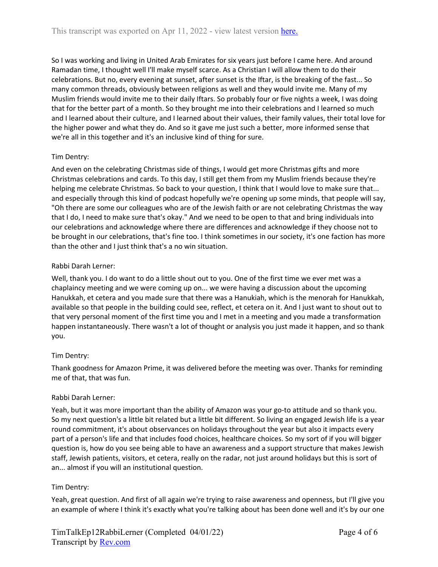So I was working and living in United Arab Emirates for six years just before I came here. And around Ramadan time, I thought well I'll make myself scarce. As a Christian I will allow them to do their celebrations. But no, every evening at sunset, after sunset is the Iftar, is the breaking of the fast... So many common threads, obviously between religions as well and they would invite me. Many of my Muslim friends would invite me to their daily Iftars. So probably four or five nights a week, I was doing that for the better part of a month. So they brought me into their celebrations and I learned so much and I learned about their culture, and I learned about their values, their family values, their total love for the higher power and what they do. And so it gave me just such a better, more informed sense that we're all in this together and it's an inclusive kind of thing for sure.

# Tim Dentry:

And even on the celebrating Christmas side of things, I would get more Christmas gifts and more Christmas celebrations and cards. To this day, I still get them from my Muslim friends because they're helping me celebrate Christmas. So back to your question, I think that I would love to make sure that... and especially through this kind of podcast hopefully we're opening up some minds, that people will say, "Oh there are some our colleagues who are of the Jewish faith or are not celebrating Christmas the way that I do, I need to make sure that's okay." And we need to be open to that and bring individuals into our celebrations and acknowledge where there are differences and acknowledge if they choose not to be brought in our celebrations, that's fine too. I think sometimes in our society, it's one faction has more than the other and I just think that's a no win situation.

# Rabbi Darah Lerner:

Well, thank you. I do want to do a little shout out to you. One of the first time we ever met was a chaplaincy meeting and we were coming up on... we were having a discussion about the upcoming Hanukkah, et cetera and you made sure that there was a Hanukiah, which is the menorah for Hanukkah, available so that people in the building could see, reflect, et cetera on it. And I just want to shout out to that very personal moment of the first time you and I met in a meeting and you made a transformation happen instantaneously. There wasn't a lot of thought or analysis you just made it happen, and so thank you.

# Tim Dentry:

Thank goodness for Amazon Prime, it was delivered before the meeting was over. Thanks for reminding me of that, that was fun.

# Rabbi Darah Lerner:

Yeah, but it was more important than the ability of Amazon was your go-to attitude and so thank you. So my next question's a little bit related but a little bit different. So living an engaged Jewish life is a year round commitment, it's about observances on holidays throughout the year but also it impacts every part of a person's life and that includes food choices, healthcare choices. So my sort of if you will bigger question is, how do you see being able to have an awareness and a support structure that makes Jewish staff, Jewish patients, visitors, et cetera, really on the radar, not just around holidays but this is sort of an... almost if you will an institutional question.

# Tim Dentry:

Yeah, great question. And first of all again we're trying to raise awareness and openness, but I'll give you an example of where I think it's exactly what you're talking about has been done well and it's by our one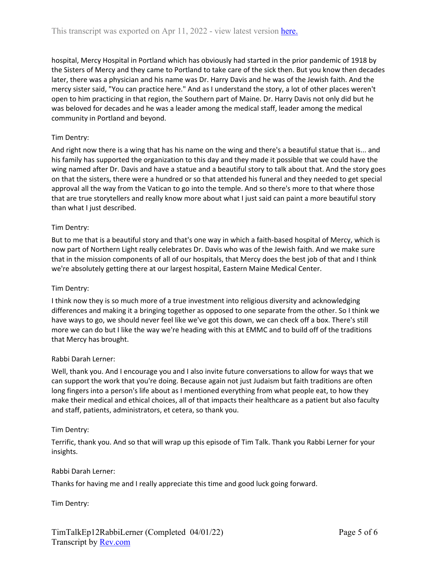hospital, Mercy Hospital in Portland which has obviously had started in the prior pandemic of 1918 by the Sisters of Mercy and they came to Portland to take care of the sick then. But you know then decades later, there was a physician and his name was Dr. Harry Davis and he was of the Jewish faith. And the mercy sister said, "You can practice here." And as I understand the story, a lot of other places weren't open to him practicing in that region, the Southern part of Maine. Dr. Harry Davis not only did but he was beloved for decades and he was a leader among the medical staff, leader among the medical community in Portland and beyond.

### Tim Dentry:

And right now there is a wing that has his name on the wing and there's a beautiful statue that is... and his family has supported the organization to this day and they made it possible that we could have the wing named after Dr. Davis and have a statue and a beautiful story to talk about that. And the story goes on that the sisters, there were a hundred or so that attended his funeral and they needed to get special approval all the way from the Vatican to go into the temple. And so there's more to that where those that are true storytellers and really know more about what I just said can paint a more beautiful story than what I just described.

#### Tim Dentry:

But to me that is a beautiful story and that's one way in which a faith-based hospital of Mercy, which is now part of Northern Light really celebrates Dr. Davis who was of the Jewish faith. And we make sure that in the mission components of all of our hospitals, that Mercy does the best job of that and I think we're absolutely getting there at our largest hospital, Eastern Maine Medical Center.

#### Tim Dentry:

I think now they is so much more of a true investment into religious diversity and acknowledging differences and making it a bringing together as opposed to one separate from the other. So I think we have ways to go, we should never feel like we've got this down, we can check off a box. There's still more we can do but I like the way we're heading with this at EMMC and to build off of the traditions that Mercy has brought.

#### Rabbi Darah Lerner:

Well, thank you. And I encourage you and I also invite future conversations to allow for ways that we can support the work that you're doing. Because again not just Judaism but faith traditions are often long fingers into a person's life about as I mentioned everything from what people eat, to how they make their medical and ethical choices, all of that impacts their healthcare as a patient but also faculty and staff, patients, administrators, et cetera, so thank you.

#### Tim Dentry:

Terrific, thank you. And so that will wrap up this episode of Tim Talk. Thank you Rabbi Lerner for your insights.

#### Rabbi Darah Lerner:

Thanks for having me and I really appreciate this time and good luck going forward.

Tim Dentry: